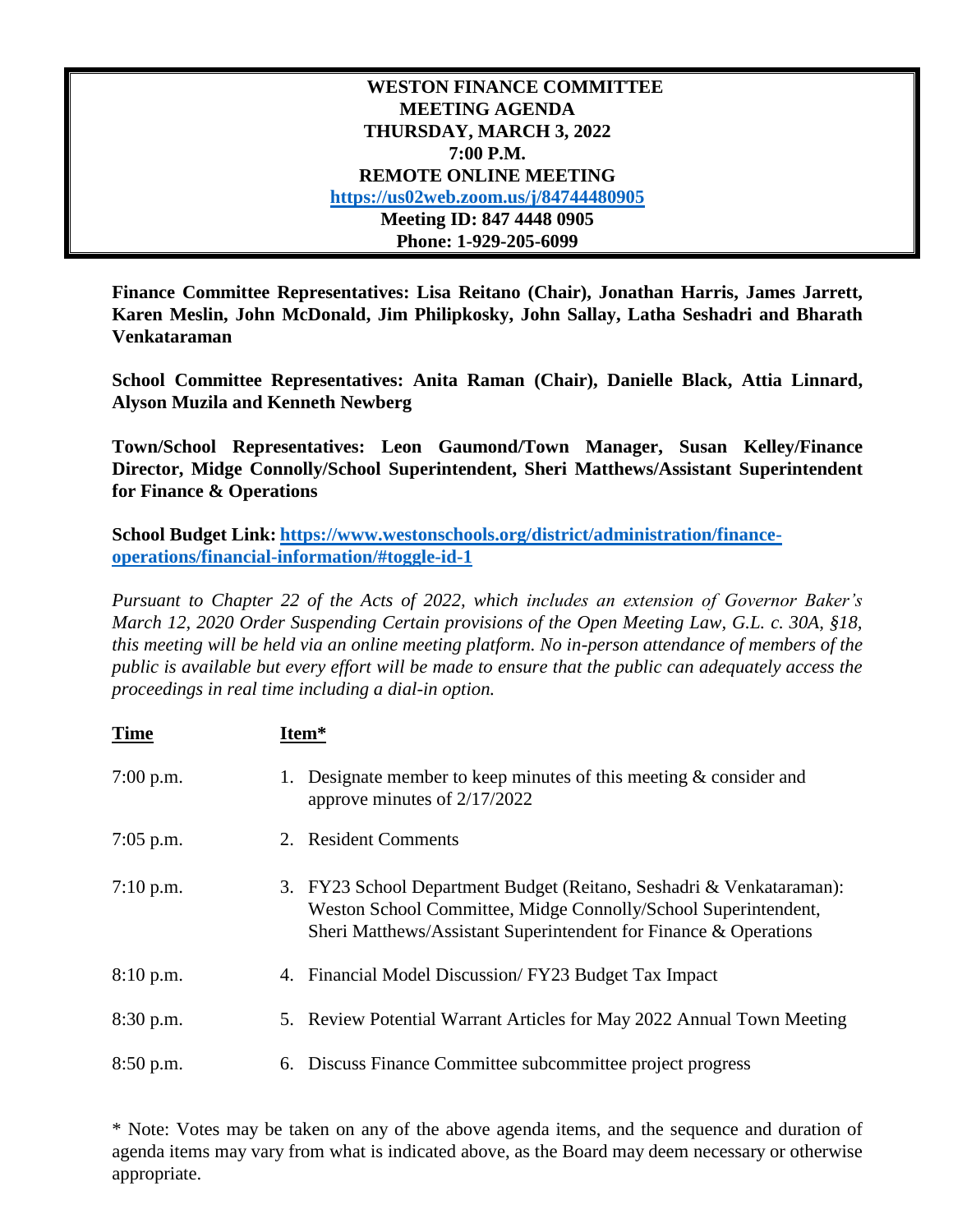**WESTON FINANCE COMMITTEE MEETING AGENDA THURSDAY, MARCH 3, 2022 7:00 P.M. REMOTE ONLINE MEETING <https://us02web.zoom.us/j/84744480905> Meeting ID: 847 4448 0905 Phone: 1-929-205-6099**

**Finance Committee Representatives: Lisa Reitano (Chair), Jonathan Harris, James Jarrett, Karen Meslin, John McDonald, Jim Philipkosky, John Sallay, Latha Seshadri and Bharath Venkataraman**

**School Committee Representatives: Anita Raman (Chair), Danielle Black, Attia Linnard, Alyson Muzila and Kenneth Newberg**

**Town/School Representatives: Leon Gaumond/Town Manager, Susan Kelley/Finance Director, Midge Connolly/School Superintendent, Sheri Matthews/Assistant Superintendent for Finance & Operations**

**School Budget Link: [https://www.westonschools.org/district/administration/finance](https://www.westonschools.org/district/administration/finance-operations/financial-information/#toggle-id-1)[operations/financial-information/#toggle-id-1](https://www.westonschools.org/district/administration/finance-operations/financial-information/#toggle-id-1)**

*Pursuant to Chapter 22 of the Acts of 2022, which includes an extension of Governor Baker's March 12, 2020 Order Suspending Certain provisions of the Open Meeting Law, G.L. c. 30A, §18, this meeting will be held via an online meeting platform. No in-person attendance of members of the public is available but every effort will be made to ensure that the public can adequately access the proceedings in real time including a dial-in option.*

| <b>Time</b> |    | Item*                                                                                                                                                                                                      |
|-------------|----|------------------------------------------------------------------------------------------------------------------------------------------------------------------------------------------------------------|
| $7:00$ p.m. | 1. | Designate member to keep minutes of this meeting $\&$ consider and<br>approve minutes of $2/17/2022$                                                                                                       |
| $7:05$ p.m. |    | 2. Resident Comments                                                                                                                                                                                       |
| $7:10$ p.m. |    | 3. FY23 School Department Budget (Reitano, Seshadri & Venkataraman):<br>Weston School Committee, Midge Connolly/School Superintendent,<br>Sheri Matthews/Assistant Superintendent for Finance & Operations |
| 8:10 p.m.   |    | 4. Financial Model Discussion/FY23 Budget Tax Impact                                                                                                                                                       |
| 8:30 p.m.   |    | 5. Review Potential Warrant Articles for May 2022 Annual Town Meeting                                                                                                                                      |
| $8:50$ p.m. |    | 6. Discuss Finance Committee subcommittee project progress                                                                                                                                                 |

\* Note: Votes may be taken on any of the above agenda items, and the sequence and duration of agenda items may vary from what is indicated above, as the Board may deem necessary or otherwise appropriate.